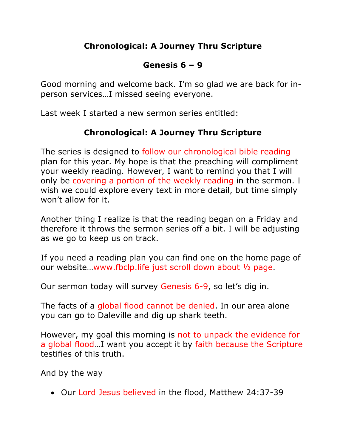## **Chronological: A Journey Thru Scripture**

# **Genesis 6 – 9**

Good morning and welcome back. I'm so glad we are back for inperson services…I missed seeing everyone.

Last week I started a new sermon series entitled:

# **Chronological: A Journey Thru Scripture**

The series is designed to follow our chronological bible reading plan for this year. My hope is that the preaching will compliment your weekly reading. However, I want to remind you that I will only be covering a portion of the weekly reading in the sermon. I wish we could explore every text in more detail, but time simply won't allow for it.

Another thing I realize is that the reading began on a Friday and therefore it throws the sermon series off a bit. I will be adjusting as we go to keep us on track.

If you need a reading plan you can find one on the home page of our website…www.fbclp.life just scroll down about ½ page.

Our sermon today will survey Genesis 6-9, so let's dig in.

The facts of a global flood cannot be denied. In our area alone you can go to Daleville and dig up shark teeth.

However, my goal this morning is not to unpack the evidence for a global flood…I want you accept it by faith because the Scripture testifies of this truth.

And by the way

• Our Lord Jesus believed in the flood, Matthew 24:37-39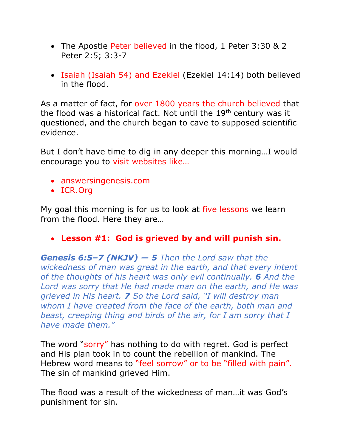- The Apostle Peter believed in the flood, 1 Peter 3:30 & 2 Peter 2:5; 3:3-7
- Isaiah (Isaiah 54) and Ezekiel (Ezekiel 14:14) both believed in the flood.

As a matter of fact, for over 1800 years the church believed that the flood was a historical fact. Not until the 19<sup>th</sup> century was it questioned, and the church began to cave to supposed scientific evidence.

But I don't have time to dig in any deeper this morning…I would encourage you to visit websites like…

- answersingenesis.com
- ICR.Org

My goal this morning is for us to look at five lessons we learn from the flood. Here they are…

### • **Lesson #1: God is grieved by and will punish sin.**

*Genesis 6:5–7 (NKJV) — 5 Then the Lord saw that the wickedness of man was great in the earth, and that every intent of the thoughts of his heart was only evil continually. 6 And the Lord was sorry that He had made man on the earth, and He was grieved in His heart. 7 So the Lord said, "I will destroy man whom I have created from the face of the earth, both man and beast, creeping thing and birds of the air, for I am sorry that I have made them."*

The word "sorry" has nothing to do with regret. God is perfect and His plan took in to count the rebellion of mankind. The Hebrew word means to "feel sorrow" or to be "filled with pain". The sin of mankind grieved Him.

The flood was a result of the wickedness of man…it was God's punishment for sin.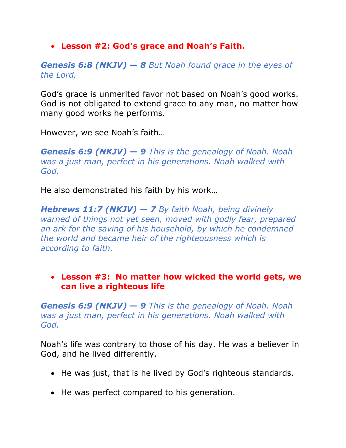• **Lesson #2: God's grace and Noah's Faith.**

*Genesis 6:8 (NKJV) — 8 But Noah found grace in the eyes of the Lord.*

God's grace is unmerited favor not based on Noah's good works. God is not obligated to extend grace to any man, no matter how many good works he performs.

However, we see Noah's faith…

*Genesis 6:9 (NKJV) — 9 This is the genealogy of Noah. Noah was a just man, perfect in his generations. Noah walked with God.*

He also demonstrated his faith by his work…

*Hebrews 11:7 (NKJV) — 7 By faith Noah, being divinely warned of things not yet seen, moved with godly fear, prepared an ark for the saving of his household, by which he condemned the world and became heir of the righteousness which is according to faith.*

• **Lesson #3: No matter how wicked the world gets, we can live a righteous life**

*Genesis 6:9 (NKJV) — 9 This is the genealogy of Noah. Noah was a just man, perfect in his generations. Noah walked with God.*

Noah's life was contrary to those of his day. He was a believer in God, and he lived differently.

- He was just, that is he lived by God's righteous standards.
- He was perfect compared to his generation.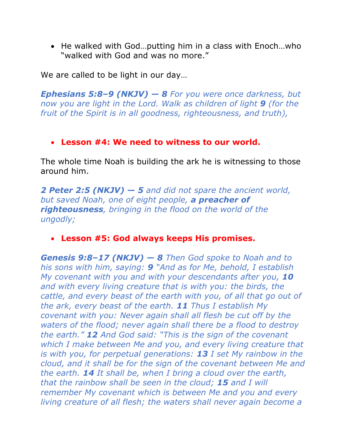• He walked with God…putting him in a class with Enoch…who "walked with God and was no more."

We are called to be light in our day…

*Ephesians 5:8–9 (NKJV) — 8 For you were once darkness, but now you are light in the Lord. Walk as children of light 9 (for the fruit of the Spirit is in all goodness, righteousness, and truth),*

#### • **Lesson #4: We need to witness to our world.**

The whole time Noah is building the ark he is witnessing to those around him.

*2 Peter 2:5 (NKJV) — 5 and did not spare the ancient world, but saved Noah, one of eight people, a preacher of righteousness, bringing in the flood on the world of the ungodly;*

### • **Lesson #5: God always keeps His promises.**

*Genesis 9:8–17 (NKJV) — 8 Then God spoke to Noah and to his sons with him, saying: 9 "And as for Me, behold, I establish My covenant with you and with your descendants after you, 10 and with every living creature that is with you: the birds, the cattle, and every beast of the earth with you, of all that go out of the ark, every beast of the earth. 11 Thus I establish My covenant with you: Never again shall all flesh be cut off by the waters of the flood; never again shall there be a flood to destroy the earth." 12 And God said: "This is the sign of the covenant which I make between Me and you, and every living creature that is with you, for perpetual generations: 13 I set My rainbow in the cloud, and it shall be for the sign of the covenant between Me and the earth. 14 It shall be, when I bring a cloud over the earth, that the rainbow shall be seen in the cloud; 15 and I will remember My covenant which is between Me and you and every living creature of all flesh; the waters shall never again become a*